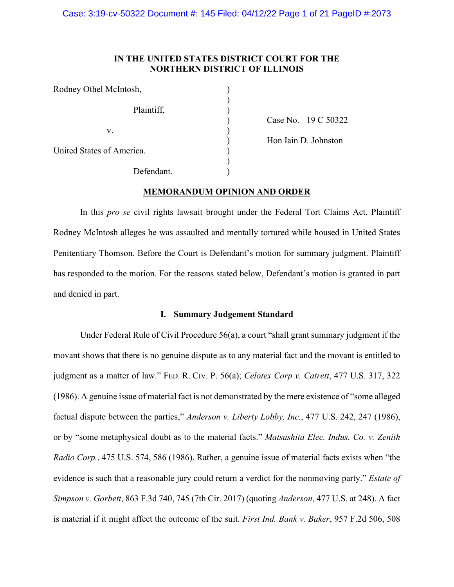# **IN THE UNITED STATES DISTRICT COURT FOR THE NORTHERN DISTRICT OF ILLINOIS**

| Rodney Othel McIntosh,    |  |
|---------------------------|--|
| Plaintiff,                |  |
| V.                        |  |
| United States of America. |  |
| Defendant.                |  |

) Case No. 19 C 50322 )<br>
Hon Iain D. Johnston<br>
)

# **MEMORANDUM OPINION AND ORDER**

In this *pro se* civil rights lawsuit brought under the Federal Tort Claims Act, Plaintiff Rodney McIntosh alleges he was assaulted and mentally tortured while housed in United States Penitentiary Thomson. Before the Court is Defendant's motion for summary judgment. Plaintiff has responded to the motion. For the reasons stated below, Defendant's motion is granted in part and denied in part.

# **I. Summary Judgement Standard**

Under Federal Rule of Civil Procedure 56(a), a court "shall grant summary judgment if the movant shows that there is no genuine dispute as to any material fact and the movant is entitled to judgment as a matter of law." FED. R. CIV. P. 56(a); *Celotex Corp v. Catrett*, 477 U.S. 317, 322 (1986). A genuine issue of material fact is not demonstrated by the mere existence of "some alleged factual dispute between the parties," *Anderson v. Liberty Lobby, Inc.*, 477 U.S. 242, 247 (1986), or by "some metaphysical doubt as to the material facts." *Matsushita Elec. Indus. Co. v. Zenith Radio Corp.*, 475 U.S. 574, 586 (1986). Rather, a genuine issue of material facts exists when "the evidence is such that a reasonable jury could return a verdict for the nonmoving party." *Estate of Simpson v. Gorbett*, 863 F.3d 740, 745 (7th Cir. 2017) (quoting *Anderson*, 477 U.S. at 248). A fact is material if it might affect the outcome of the suit. *First Ind. Bank v. Baker*, 957 F.2d 506, 508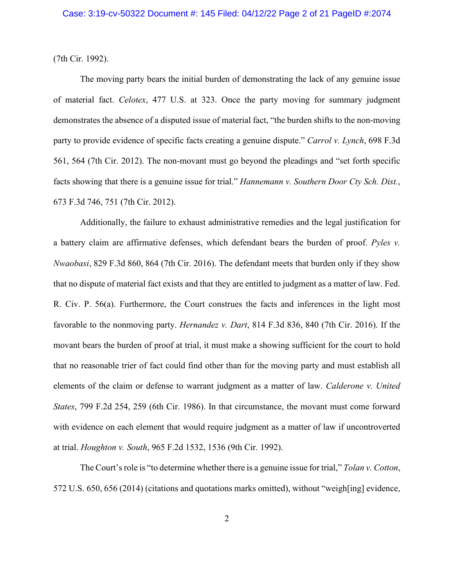(7th Cir. 1992).

The moving party bears the initial burden of demonstrating the lack of any genuine issue of material fact. *Celotex*, 477 U.S. at 323. Once the party moving for summary judgment demonstrates the absence of a disputed issue of material fact, "the burden shifts to the non-moving party to provide evidence of specific facts creating a genuine dispute." *Carrol v. Lynch*, 698 F.3d 561, 564 (7th Cir. 2012). The non-movant must go beyond the pleadings and "set forth specific facts showing that there is a genuine issue for trial." *Hannemann v. Southern Door Cty Sch. Dist.*, 673 F.3d 746, 751 (7th Cir. 2012).

Additionally, the failure to exhaust administrative remedies and the legal justification for a battery claim are affirmative defenses, which defendant bears the burden of proof. *Pyles v. Nwaobasi*, 829 F.3d 860, 864 (7th Cir. 2016). The defendant meets that burden only if they show that no dispute of material fact exists and that they are entitled to judgment as a matter of law. Fed. R. Civ. P. 56(a). Furthermore, the Court construes the facts and inferences in the light most favorable to the nonmoving party. *Hernandez v. Dart*, 814 F.3d 836, 840 (7th Cir. 2016). If the movant bears the burden of proof at trial, it must make a showing sufficient for the court to hold that no reasonable trier of fact could find other than for the moving party and must establish all elements of the claim or defense to warrant judgment as a matter of law. *Calderone v. United States*, 799 F.2d 254, 259 (6th Cir. 1986). In that circumstance, the movant must come forward with evidence on each element that would require judgment as a matter of law if uncontroverted at trial. *Houghton v. South*, 965 F.2d 1532, 1536 (9th Cir. 1992).

The Court's role is "to determine whether there is a genuine issue for trial," *Tolan v. Cotton*, 572 U.S. 650, 656 (2014) (citations and quotations marks omitted), without "weigh[ing] evidence,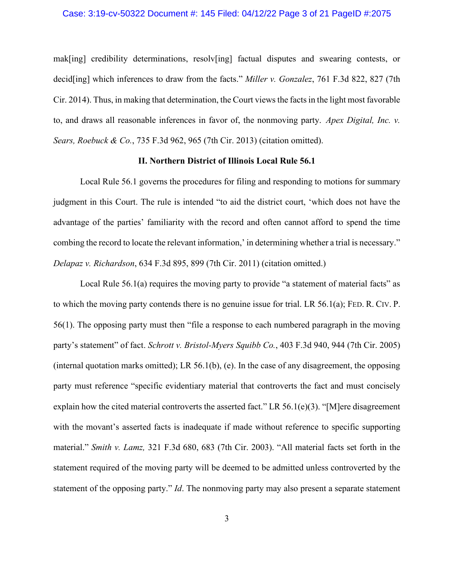#### Case: 3:19-cv-50322 Document #: 145 Filed: 04/12/22 Page 3 of 21 PageID #:2075

mak[ing] credibility determinations, resolv[ing] factual disputes and swearing contests, or decid[ing] which inferences to draw from the facts." *Miller v. Gonzalez*, 761 F.3d 822, 827 (7th Cir. 2014). Thus, in making that determination, the Court views the facts in the light most favorable to, and draws all reasonable inferences in favor of, the nonmoving party. *Apex Digital, Inc. v. Sears, Roebuck & Co.*, 735 F.3d 962, 965 (7th Cir. 2013) (citation omitted).

# **II. Northern District of Illinois Local Rule 56.1**

Local Rule 56.1 governs the procedures for filing and responding to motions for summary judgment in this Court. The rule is intended "to aid the district court, 'which does not have the advantage of the parties' familiarity with the record and often cannot afford to spend the time combing the record to locate the relevant information,' in determining whether a trial is necessary." *Delapaz v. Richardson*, 634 F.3d 895, 899 (7th Cir. 2011) (citation omitted.)

Local Rule 56.1(a) requires the moving party to provide "a statement of material facts" as to which the moving party contends there is no genuine issue for trial. LR 56.1(a); FED. R. CIV. P. 56(1). The opposing party must then "file a response to each numbered paragraph in the moving party's statement" of fact. *Schrott v. Bristol-Myers Squibb Co.*, 403 F.3d 940, 944 (7th Cir. 2005) (internal quotation marks omitted); LR 56.1(b), (e). In the case of any disagreement, the opposing party must reference "specific evidentiary material that controverts the fact and must concisely explain how the cited material controverts the asserted fact." LR 56.1(e)(3). "[M]ere disagreement with the movant's asserted facts is inadequate if made without reference to specific supporting material." *Smith v. Lamz,* 321 F.3d 680, 683 (7th Cir. 2003). "All material facts set forth in the statement required of the moving party will be deemed to be admitted unless controverted by the statement of the opposing party." *Id*. The nonmoving party may also present a separate statement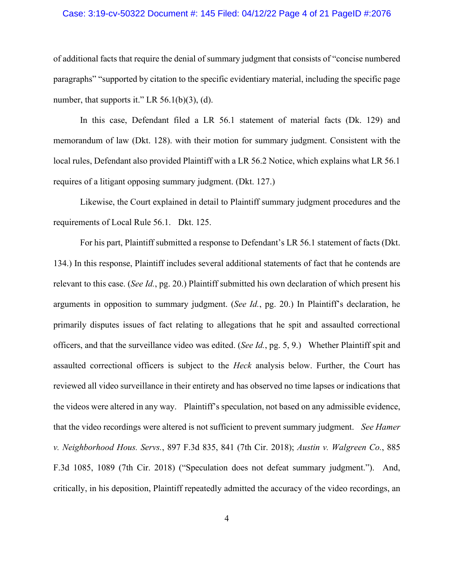# Case: 3:19-cv-50322 Document #: 145 Filed: 04/12/22 Page 4 of 21 PageID #:2076

of additional facts that require the denial of summary judgment that consists of "concise numbered paragraphs" "supported by citation to the specific evidentiary material, including the specific page number, that supports it." LR  $56.1(b)(3)$ , (d).

In this case, Defendant filed a LR 56.1 statement of material facts (Dk. 129) and memorandum of law (Dkt. 128). with their motion for summary judgment. Consistent with the local rules, Defendant also provided Plaintiff with a LR 56.2 Notice, which explains what LR 56.1 requires of a litigant opposing summary judgment. (Dkt. 127.)

Likewise, the Court explained in detail to Plaintiff summary judgment procedures and the requirements of Local Rule 56.1. Dkt. 125.

For his part, Plaintiff submitted a response to Defendant's LR 56.1 statement of facts (Dkt. 134.) In this response, Plaintiff includes several additional statements of fact that he contends are relevant to this case. (*See Id.*, pg. 20.) Plaintiff submitted his own declaration of which present his arguments in opposition to summary judgment. (*See Id.*, pg. 20.) In Plaintiff's declaration, he primarily disputes issues of fact relating to allegations that he spit and assaulted correctional officers, and that the surveillance video was edited. (*See Id.*, pg. 5, 9.) Whether Plaintiff spit and assaulted correctional officers is subject to the *Heck* analysis below. Further, the Court has reviewed all video surveillance in their entirety and has observed no time lapses or indications that the videos were altered in any way. Plaintiff's speculation, not based on any admissible evidence, that the video recordings were altered is not sufficient to prevent summary judgment. *See Hamer v. Neighborhood Hous. Servs.*, 897 F.3d 835, 841 (7th Cir. 2018); *Austin v. Walgreen Co.*, 885 F.3d 1085, 1089 (7th Cir. 2018) ("Speculation does not defeat summary judgment."). And, critically, in his deposition, Plaintiff repeatedly admitted the accuracy of the video recordings, an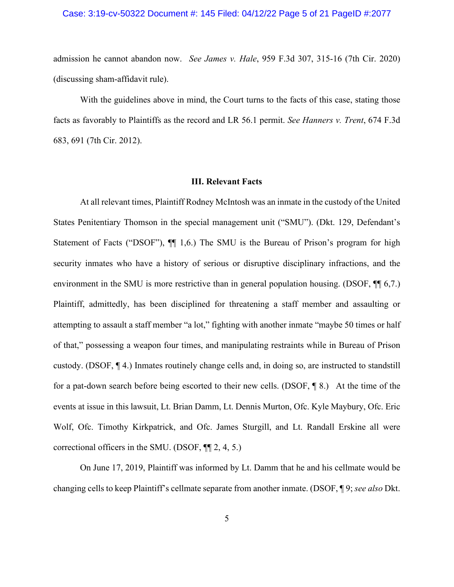# Case: 3:19-cv-50322 Document #: 145 Filed: 04/12/22 Page 5 of 21 PageID #:2077

admission he cannot abandon now. *See James v. Hale*, 959 F.3d 307, 315-16 (7th Cir. 2020) (discussing sham-affidavit rule).

With the guidelines above in mind, the Court turns to the facts of this case, stating those facts as favorably to Plaintiffs as the record and LR 56.1 permit. *See Hanners v. Trent*, 674 F.3d 683, 691 (7th Cir. 2012).

#### **III. Relevant Facts**

At all relevant times, Plaintiff Rodney McIntosh was an inmate in the custody of the United States Penitentiary Thomson in the special management unit ("SMU"). (Dkt. 129, Defendant's Statement of Facts ("DSOF"),  $\P$  1,6.) The SMU is the Bureau of Prison's program for high security inmates who have a history of serious or disruptive disciplinary infractions, and the environment in the SMU is more restrictive than in general population housing. (DSOF,  $\P$  6,7.) Plaintiff, admittedly, has been disciplined for threatening a staff member and assaulting or attempting to assault a staff member "a lot," fighting with another inmate "maybe 50 times or half of that," possessing a weapon four times, and manipulating restraints while in Bureau of Prison custody. (DSOF, ¶ 4.) Inmates routinely change cells and, in doing so, are instructed to standstill for a pat-down search before being escorted to their new cells. (DSOF, ¶ 8.) At the time of the events at issue in this lawsuit, Lt. Brian Damm, Lt. Dennis Murton, Ofc. Kyle Maybury, Ofc. Eric Wolf, Ofc. Timothy Kirkpatrick, and Ofc. James Sturgill, and Lt. Randall Erskine all were correctional officers in the SMU. (DSOF, ¶¶ 2, 4, 5.)

On June 17, 2019, Plaintiff was informed by Lt. Damm that he and his cellmate would be changing cells to keep Plaintiff's cellmate separate from another inmate. (DSOF, ¶ 9; *see also* Dkt.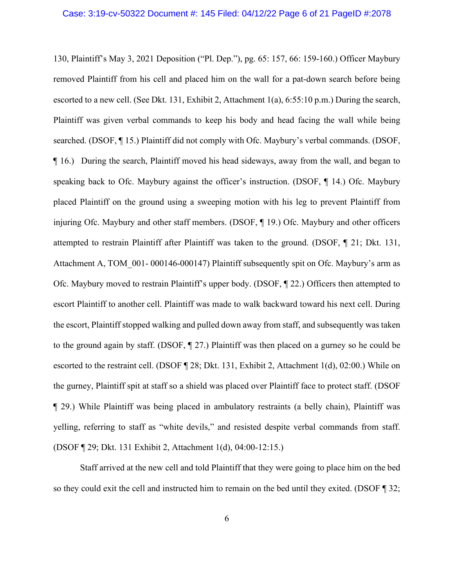130, Plaintiff's May 3, 2021 Deposition ("Pl. Dep."), pg. 65: 157, 66: 159-160.) Officer Maybury removed Plaintiff from his cell and placed him on the wall for a pat-down search before being escorted to a new cell. (See Dkt. 131, Exhibit 2, Attachment 1(a), 6:55:10 p.m.) During the search, Plaintiff was given verbal commands to keep his body and head facing the wall while being searched. (DSOF, ¶ 15.) Plaintiff did not comply with Ofc. Maybury's verbal commands. (DSOF, ¶ 16.) During the search, Plaintiff moved his head sideways, away from the wall, and began to speaking back to Ofc. Maybury against the officer's instruction. (DSOF, ¶ 14.) Ofc. Maybury placed Plaintiff on the ground using a sweeping motion with his leg to prevent Plaintiff from injuring Ofc. Maybury and other staff members. (DSOF, ¶ 19.) Ofc. Maybury and other officers attempted to restrain Plaintiff after Plaintiff was taken to the ground. (DSOF, ¶ 21; Dkt. 131, Attachment A, TOM 001- 000146-000147) Plaintiff subsequently spit on Ofc. Maybury's arm as Ofc. Maybury moved to restrain Plaintiff's upper body. (DSOF, ¶ 22.) Officers then attempted to escort Plaintiff to another cell. Plaintiff was made to walk backward toward his next cell. During the escort, Plaintiff stopped walking and pulled down away from staff, and subsequently was taken to the ground again by staff. (DSOF, ¶ 27.) Plaintiff was then placed on a gurney so he could be escorted to the restraint cell. (DSOF ¶ 28; Dkt. 131, Exhibit 2, Attachment 1(d), 02:00.) While on the gurney, Plaintiff spit at staff so a shield was placed over Plaintiff face to protect staff. (DSOF ¶ 29.) While Plaintiff was being placed in ambulatory restraints (a belly chain), Plaintiff was yelling, referring to staff as "white devils," and resisted despite verbal commands from staff. (DSOF ¶ 29; Dkt. 131 Exhibit 2, Attachment 1(d), 04:00-12:15.)

Staff arrived at the new cell and told Plaintiff that they were going to place him on the bed so they could exit the cell and instructed him to remain on the bed until they exited. (DSOF ¶ 32;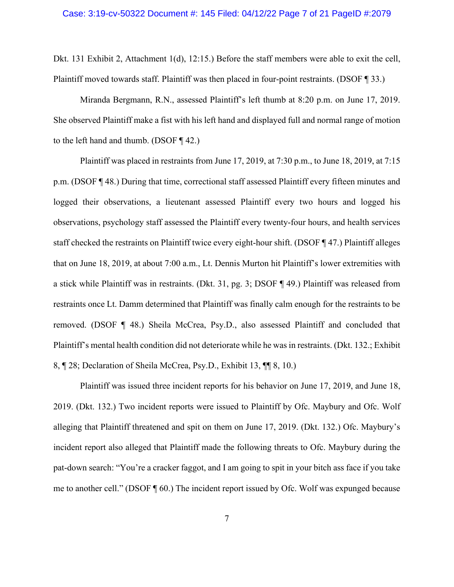Dkt. 131 Exhibit 2, Attachment 1(d), 12:15.) Before the staff members were able to exit the cell, Plaintiff moved towards staff. Plaintiff was then placed in four-point restraints. (DSOF ¶ 33.)

Miranda Bergmann, R.N., assessed Plaintiff's left thumb at 8:20 p.m. on June 17, 2019. She observed Plaintiff make a fist with his left hand and displayed full and normal range of motion to the left hand and thumb. (DSOF ¶ 42.)

Plaintiff was placed in restraints from June 17, 2019, at 7:30 p.m., to June 18, 2019, at 7:15 p.m. (DSOF ¶ 48.) During that time, correctional staff assessed Plaintiff every fifteen minutes and logged their observations, a lieutenant assessed Plaintiff every two hours and logged his observations, psychology staff assessed the Plaintiff every twenty-four hours, and health services staff checked the restraints on Plaintiff twice every eight-hour shift. (DSOF ¶ 47.) Plaintiff alleges that on June 18, 2019, at about 7:00 a.m., Lt. Dennis Murton hit Plaintiff's lower extremities with a stick while Plaintiff was in restraints. (Dkt. 31, pg. 3; DSOF ¶ 49.) Plaintiff was released from restraints once Lt. Damm determined that Plaintiff was finally calm enough for the restraints to be removed. (DSOF ¶ 48.) Sheila McCrea, Psy.D., also assessed Plaintiff and concluded that Plaintiff's mental health condition did not deteriorate while he was in restraints. (Dkt. 132.; Exhibit 8, ¶ 28; Declaration of Sheila McCrea, Psy.D., Exhibit 13, ¶¶ 8, 10.)

Plaintiff was issued three incident reports for his behavior on June 17, 2019, and June 18, 2019. (Dkt. 132.) Two incident reports were issued to Plaintiff by Ofc. Maybury and Ofc. Wolf alleging that Plaintiff threatened and spit on them on June 17, 2019. (Dkt. 132.) Ofc. Maybury's incident report also alleged that Plaintiff made the following threats to Ofc. Maybury during the pat-down search: "You're a cracker faggot, and I am going to spit in your bitch ass face if you take me to another cell." (DSOF ¶ 60.) The incident report issued by Ofc. Wolf was expunged because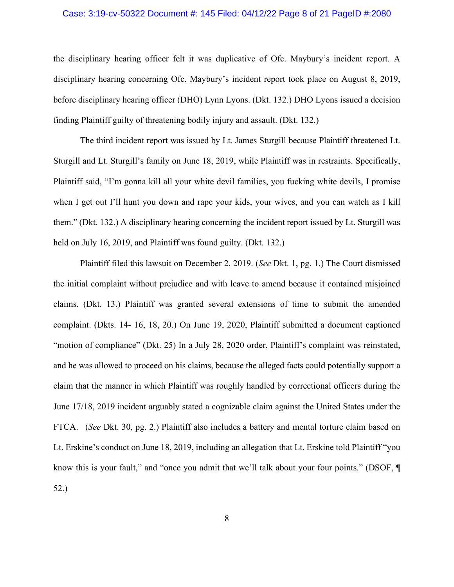# Case: 3:19-cv-50322 Document #: 145 Filed: 04/12/22 Page 8 of 21 PageID #:2080

the disciplinary hearing officer felt it was duplicative of Ofc. Maybury's incident report. A disciplinary hearing concerning Ofc. Maybury's incident report took place on August 8, 2019, before disciplinary hearing officer (DHO) Lynn Lyons. (Dkt. 132.) DHO Lyons issued a decision finding Plaintiff guilty of threatening bodily injury and assault. (Dkt. 132.)

The third incident report was issued by Lt. James Sturgill because Plaintiff threatened Lt. Sturgill and Lt. Sturgill's family on June 18, 2019, while Plaintiff was in restraints. Specifically, Plaintiff said, "I'm gonna kill all your white devil families, you fucking white devils, I promise when I get out I'll hunt you down and rape your kids, your wives, and you can watch as I kill them." (Dkt. 132.) A disciplinary hearing concerning the incident report issued by Lt. Sturgill was held on July 16, 2019, and Plaintiff was found guilty. (Dkt. 132.)

Plaintiff filed this lawsuit on December 2, 2019. (*See* Dkt. 1, pg. 1.) The Court dismissed the initial complaint without prejudice and with leave to amend because it contained misjoined claims. (Dkt. 13.) Plaintiff was granted several extensions of time to submit the amended complaint. (Dkts. 14- 16, 18, 20.) On June 19, 2020, Plaintiff submitted a document captioned "motion of compliance" (Dkt. 25) In a July 28, 2020 order, Plaintiff's complaint was reinstated, and he was allowed to proceed on his claims, because the alleged facts could potentially support a claim that the manner in which Plaintiff was roughly handled by correctional officers during the June 17/18, 2019 incident arguably stated a cognizable claim against the United States under the FTCA. (*See* Dkt. 30, pg. 2.) Plaintiff also includes a battery and mental torture claim based on Lt. Erskine's conduct on June 18, 2019, including an allegation that Lt. Erskine told Plaintiff "you know this is your fault," and "once you admit that we'll talk about your four points." (DSOF,  $\P$ 52.)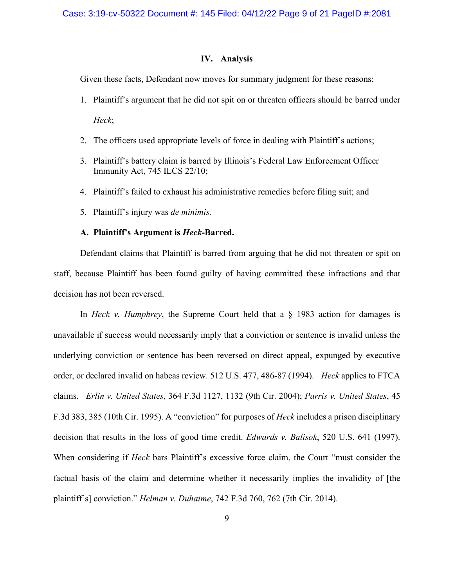# **IV. Analysis**

Given these facts, Defendant now moves for summary judgment for these reasons:

- 1. Plaintiff's argument that he did not spit on or threaten officers should be barred under *Heck*;
- 2. The officers used appropriate levels of force in dealing with Plaintiff's actions;
- 3. Plaintiff's battery claim is barred by Illinois's Federal Law Enforcement Officer Immunity Act, 745 ILCS 22/10;
- 4. Plaintiff's failed to exhaust his administrative remedies before filing suit; and
- 5. Plaintiff's injury was *de minimis.*

# **A. Plaintiff's Argument is** *Heck***-Barred.**

Defendant claims that Plaintiff is barred from arguing that he did not threaten or spit on staff, because Plaintiff has been found guilty of having committed these infractions and that decision has not been reversed.

In *Heck v. Humphrey*, the Supreme Court held that a § 1983 action for damages is unavailable if success would necessarily imply that a conviction or sentence is invalid unless the underlying conviction or sentence has been reversed on direct appeal, expunged by executive order, or declared invalid on habeas review. 512 U.S. 477, 486-87 (1994). *Heck* applies to FTCA claims. *Erlin v. United States*, 364 F.3d 1127, 1132 (9th Cir. 2004); *Parris v. United States*, 45 F.3d 383, 385 (10th Cir. 1995). A "conviction" for purposes of *Heck* includes a prison disciplinary decision that results in the loss of good time credit. *Edwards v. Balisok*, 520 U.S. 641 (1997). When considering if *Heck* bars Plaintiff's excessive force claim, the Court "must consider the factual basis of the claim and determine whether it necessarily implies the invalidity of [the plaintiff's] conviction." *Helman v. Duhaime*, 742 F.3d 760, 762 (7th Cir. 2014).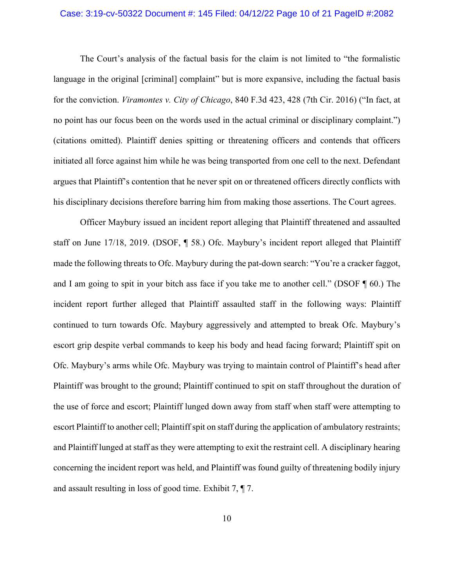# Case: 3:19-cv-50322 Document #: 145 Filed: 04/12/22 Page 10 of 21 PageID #:2082

The Court's analysis of the factual basis for the claim is not limited to "the formalistic language in the original [criminal] complaint" but is more expansive, including the factual basis for the conviction. *Viramontes v. City of Chicago*, 840 F.3d 423, 428 (7th Cir. 2016) ("In fact, at no point has our focus been on the words used in the actual criminal or disciplinary complaint.") (citations omitted). Plaintiff denies spitting or threatening officers and contends that officers initiated all force against him while he was being transported from one cell to the next. Defendant argues that Plaintiff's contention that he never spit on or threatened officers directly conflicts with his disciplinary decisions therefore barring him from making those assertions. The Court agrees.

Officer Maybury issued an incident report alleging that Plaintiff threatened and assaulted staff on June 17/18, 2019. (DSOF, ¶ 58.) Ofc. Maybury's incident report alleged that Plaintiff made the following threats to Ofc. Maybury during the pat-down search: "You're a cracker faggot, and I am going to spit in your bitch ass face if you take me to another cell." (DSOF ¶ 60.) The incident report further alleged that Plaintiff assaulted staff in the following ways: Plaintiff continued to turn towards Ofc. Maybury aggressively and attempted to break Ofc. Maybury's escort grip despite verbal commands to keep his body and head facing forward; Plaintiff spit on Ofc. Maybury's arms while Ofc. Maybury was trying to maintain control of Plaintiff's head after Plaintiff was brought to the ground; Plaintiff continued to spit on staff throughout the duration of the use of force and escort; Plaintiff lunged down away from staff when staff were attempting to escort Plaintiff to another cell; Plaintiff spit on staff during the application of ambulatory restraints; and Plaintiff lunged at staff as they were attempting to exit the restraint cell. A disciplinary hearing concerning the incident report was held, and Plaintiff was found guilty of threatening bodily injury and assault resulting in loss of good time. Exhibit 7, ¶ 7.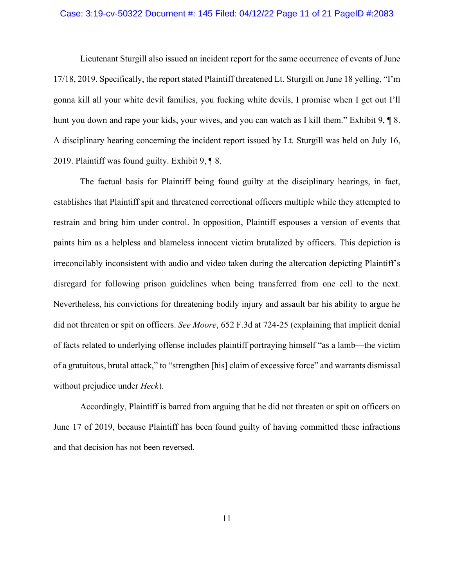# Case: 3:19-cv-50322 Document #: 145 Filed: 04/12/22 Page 11 of 21 PageID #:2083

Lieutenant Sturgill also issued an incident report for the same occurrence of events of June 17/18, 2019. Specifically, the report stated Plaintiff threatened Lt. Sturgill on June 18 yelling, "I'm gonna kill all your white devil families, you fucking white devils, I promise when I get out I'll hunt you down and rape your kids, your wives, and you can watch as I kill them." Exhibit 9, 1 8. A disciplinary hearing concerning the incident report issued by Lt. Sturgill was held on July 16, 2019. Plaintiff was found guilty. Exhibit 9, ¶ 8.

The factual basis for Plaintiff being found guilty at the disciplinary hearings, in fact, establishes that Plaintiff spit and threatened correctional officers multiple while they attempted to restrain and bring him under control. In opposition, Plaintiff espouses a version of events that paints him as a helpless and blameless innocent victim brutalized by officers. This depiction is irreconcilably inconsistent with audio and video taken during the altercation depicting Plaintiff's disregard for following prison guidelines when being transferred from one cell to the next. Nevertheless, his convictions for threatening bodily injury and assault bar his ability to argue he did not threaten or spit on officers. *See Moore*, 652 F.3d at 724-25 (explaining that implicit denial of facts related to underlying offense includes plaintiff portraying himself "as a lamb—the victim of a gratuitous, brutal attack," to "strengthen [his] claim of excessive force" and warrants dismissal without prejudice under *Heck*).

Accordingly, Plaintiff is barred from arguing that he did not threaten or spit on officers on June 17 of 2019, because Plaintiff has been found guilty of having committed these infractions and that decision has not been reversed.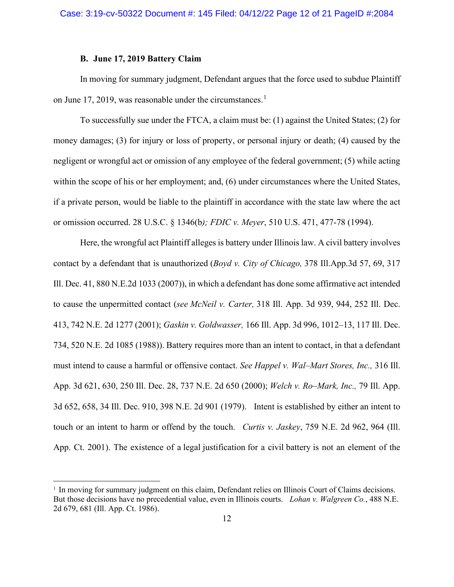# **B. June 17, 2019 Battery Claim**

In moving for summary judgment, Defendant argues that the force used to subdue Plaintiff on June 17, 2019, was reasonable under the circumstances.<sup>1</sup>

To successfully sue under the FTCA, a claim must be: (1) against the United States; (2) for money damages; (3) for injury or loss of property, or personal injury or death; (4) caused by the negligent or wrongful act or omission of any employee of the federal government; (5) while acting within the scope of his or her employment; and, (6) under circumstances where the United States, if a private person, would be liable to the plaintiff in accordance with the state law where the act or omission occurred. 28 U.S.C. § 1346(b*); FDIC v. Meyer*, 510 U.S. 471, 477-78 (1994).

Here, the wrongful act Plaintiff alleges is battery under Illinois law. A civil battery involves contact by a defendant that is unauthorized (*Boyd v. City of Chicago,* 378 Ill.App.3d 57, 69, 317 Ill. Dec. 41, 880 N.E.2d 1033 (2007)), in which a defendant has done some affirmative act intended to cause the unpermitted contact (*see McNeil v. Carter,* 318 Ill. App. 3d 939, 944, 252 Ill. Dec. 413, 742 N.E. 2d 1277 (2001); *Gaskin v. Goldwasser,* 166 Ill. App. 3d 996, 1012–13, 117 Ill. Dec. 734, 520 N.E. 2d 1085 (1988)). Battery requires more than an intent to contact, in that a defendant must intend to cause a harmful or offensive contact. *See Happel v. Wal–Mart Stores, Inc.,* 316 Ill. App. 3d 621, 630, 250 Ill. Dec. 28, 737 N.E. 2d 650 (2000); *Welch v. Ro–Mark, Inc.,* 79 Ill. App. 3d 652, 658, 34 Ill. Dec. 910, 398 N.E. 2d 901 (1979). Intent is established by either an intent to touch or an intent to harm or offend by the touch. *Curtis v. Jaskey*, 759 N.E. 2d 962, 964 (Ill. App. Ct. 2001). The existence of a legal justification for a civil battery is not an element of the

<sup>&</sup>lt;sup>1</sup> In moving for summary judgment on this claim, Defendant relies on Illinois Court of Claims decisions. But those decisions have no precedential value, even in Illinois courts. *Lohan v. Walgreen Co.*, 488 N.E. 2d 679, 681 (Ill. App. Ct. 1986).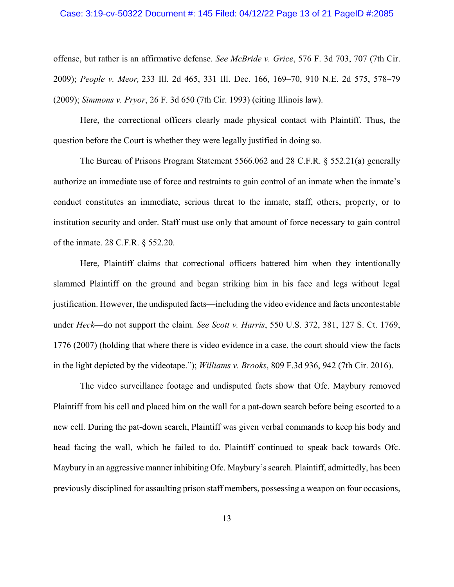# Case: 3:19-cv-50322 Document #: 145 Filed: 04/12/22 Page 13 of 21 PageID #:2085

offense, but rather is an affirmative defense. *See McBride v. Grice*, 576 F. 3d 703, 707 (7th Cir. 2009); *People v. Meor,* 233 Ill. 2d 465, 331 Ill. Dec. 166, 169–70, 910 N.E. 2d 575, 578–79 (2009); *Simmons v. Pryor*, 26 F. 3d 650 (7th Cir. 1993) (citing Illinois law).

Here, the correctional officers clearly made physical contact with Plaintiff. Thus, the question before the Court is whether they were legally justified in doing so.

The Bureau of Prisons Program Statement 5566.062 and 28 C.F.R. § 552.21(a) generally authorize an immediate use of force and restraints to gain control of an inmate when the inmate's conduct constitutes an immediate, serious threat to the inmate, staff, others, property, or to institution security and order. Staff must use only that amount of force necessary to gain control of the inmate. 28 C.F.R. § 552.20.

Here, Plaintiff claims that correctional officers battered him when they intentionally slammed Plaintiff on the ground and began striking him in his face and legs without legal justification. However, the undisputed facts—including the video evidence and facts uncontestable under *Heck*—do not support the claim. *See Scott v. Harris*, 550 U.S. 372, 381, 127 S. Ct. 1769, 1776 (2007) (holding that where there is video evidence in a case, the court should view the facts in the light depicted by the videotape."); *Williams v. Brooks*, 809 F.3d 936, 942 (7th Cir. 2016).

The video surveillance footage and undisputed facts show that Ofc. Maybury removed Plaintiff from his cell and placed him on the wall for a pat-down search before being escorted to a new cell. During the pat-down search, Plaintiff was given verbal commands to keep his body and head facing the wall, which he failed to do. Plaintiff continued to speak back towards Ofc. Maybury in an aggressive manner inhibiting Ofc. Maybury's search. Plaintiff, admittedly, has been previously disciplined for assaulting prison staff members, possessing a weapon on four occasions,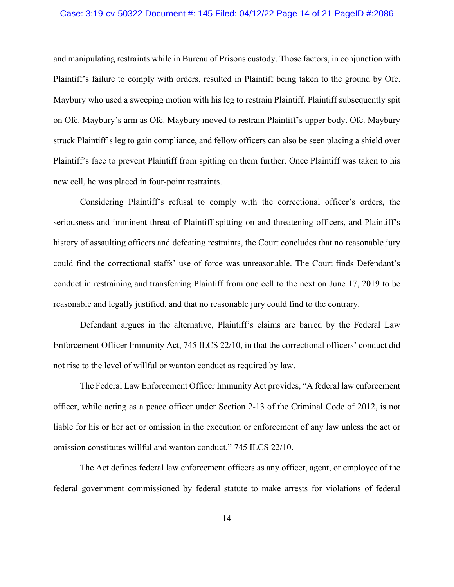# Case: 3:19-cv-50322 Document #: 145 Filed: 04/12/22 Page 14 of 21 PageID #:2086

and manipulating restraints while in Bureau of Prisons custody. Those factors, in conjunction with Plaintiff's failure to comply with orders, resulted in Plaintiff being taken to the ground by Ofc. Maybury who used a sweeping motion with his leg to restrain Plaintiff. Plaintiff subsequently spit on Ofc. Maybury's arm as Ofc. Maybury moved to restrain Plaintiff's upper body. Ofc. Maybury struck Plaintiff's leg to gain compliance, and fellow officers can also be seen placing a shield over Plaintiff's face to prevent Plaintiff from spitting on them further. Once Plaintiff was taken to his new cell, he was placed in four-point restraints.

Considering Plaintiff's refusal to comply with the correctional officer's orders, the seriousness and imminent threat of Plaintiff spitting on and threatening officers, and Plaintiff's history of assaulting officers and defeating restraints, the Court concludes that no reasonable jury could find the correctional staffs' use of force was unreasonable. The Court finds Defendant's conduct in restraining and transferring Plaintiff from one cell to the next on June 17, 2019 to be reasonable and legally justified, and that no reasonable jury could find to the contrary.

Defendant argues in the alternative, Plaintiff's claims are barred by the Federal Law Enforcement Officer Immunity Act, 745 ILCS 22/10, in that the correctional officers' conduct did not rise to the level of willful or wanton conduct as required by law.

The Federal Law Enforcement Officer Immunity Act provides, "A federal law enforcement officer, while acting as a peace officer under Section 2-13 of the Criminal Code of 2012, is not liable for his or her act or omission in the execution or enforcement of any law unless the act or omission constitutes willful and wanton conduct." 745 ILCS 22/10.

The Act defines federal law enforcement officers as any officer, agent, or employee of the federal government commissioned by federal statute to make arrests for violations of federal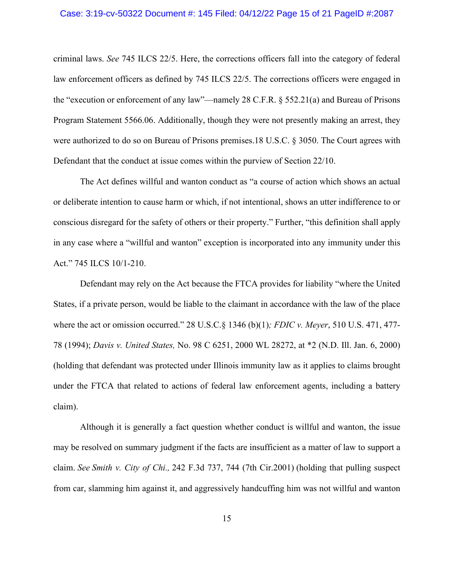# Case: 3:19-cv-50322 Document #: 145 Filed: 04/12/22 Page 15 of 21 PageID #:2087

criminal laws. *See* 745 ILCS 22/5. Here, the corrections officers fall into the category of federal law enforcement officers as defined by 745 ILCS 22/5. The corrections officers were engaged in the "execution or enforcement of any law"—namely 28 C.F.R. § 552.21(a) and Bureau of Prisons Program Statement 5566.06. Additionally, though they were not presently making an arrest, they were authorized to do so on Bureau of Prisons premises.18 U.S.C. § 3050. The Court agrees with Defendant that the conduct at issue comes within the purview of Section 22/10.

The Act defines willful and wanton conduct as "a course of action which shows an actual or deliberate intention to cause harm or which, if not intentional, shows an utter indifference to or conscious disregard for the safety of others or their property." Further, "this definition shall apply in any case where a "willful and wanton" exception is incorporated into any immunity under this Act." 745 ILCS 10/1-210.

Defendant may rely on the Act because the FTCA provides for liability "where the United States, if a private person, would be liable to the claimant in accordance with the law of the place where the act or omission occurred." 28 U.S.C.§ 1346 (b)(1)*; FDIC v. Meyer*, 510 U.S. 471, 477- 78 (1994); *Davis v. United States,* No. 98 C 6251, 2000 WL 28272, at \*2 (N.D. Ill. Jan. 6, 2000) (holding that defendant was protected under Illinois immunity law as it applies to claims brought under the FTCA that related to actions of federal law enforcement agents, including a battery claim).

Although it is generally a fact question whether conduct is willful and wanton, the issue may be resolved on summary judgment if the facts are insufficient as a matter of law to support a claim. *See Smith v. City of Chi.,* 242 F.3d 737, 744 (7th Cir.2001) (holding that pulling suspect from car, slamming him against it, and aggressively handcuffing him was not willful and wanton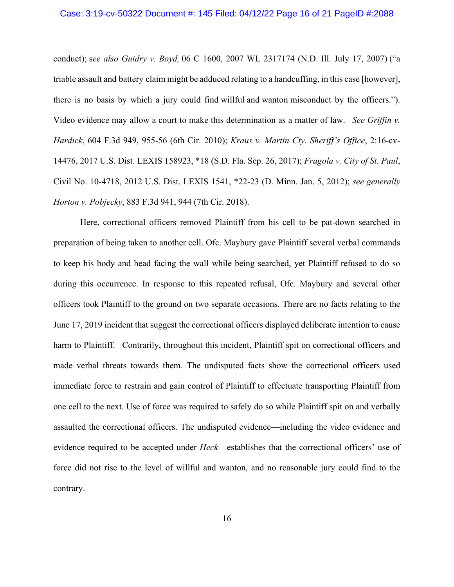# Case: 3:19-cv-50322 Document #: 145 Filed: 04/12/22 Page 16 of 21 PageID #:2088

conduct); s*ee also Guidry v. Boyd,* 06 C 1600, 2007 WL 2317174 (N.D. Ill. July 17, 2007) ("a triable assault and battery claim might be adduced relating to a handcuffing, in this case [however], there is no basis by which a jury could find willful and wanton misconduct by the officers."). Video evidence may allow a court to make this determination as a matter of law. *See Griffin v. Hardick*, 604 F.3d 949, 955-56 (6th Cir. 2010); *Kraus v. Martin Cty. Sheriff's Office*, 2:16-cv-14476, 2017 U.S. Dist. LEXIS 158923, \*18 (S.D. Fla. Sep. 26, 2017); *Fragola v. City of St. Paul*, Civil No. 10-4718, 2012 U.S. Dist. LEXIS 1541, \*22-23 (D. Minn. Jan. 5, 2012); *see generally Horton v. Pobjecky*, 883 F.3d 941, 944 (7th Cir. 2018).

Here, correctional officers removed Plaintiff from his cell to be pat-down searched in preparation of being taken to another cell. Ofc. Maybury gave Plaintiff several verbal commands to keep his body and head facing the wall while being searched, yet Plaintiff refused to do so during this occurrence. In response to this repeated refusal, Ofc. Maybury and several other officers took Plaintiff to the ground on two separate occasions. There are no facts relating to the June 17, 2019 incident that suggest the correctional officers displayed deliberate intention to cause harm to Plaintiff. Contrarily, throughout this incident, Plaintiff spit on correctional officers and made verbal threats towards them. The undisputed facts show the correctional officers used immediate force to restrain and gain control of Plaintiff to effectuate transporting Plaintiff from one cell to the next. Use of force was required to safely do so while Plaintiff spit on and verbally assaulted the correctional officers. The undisputed evidence—including the video evidence and evidence required to be accepted under *Heck*—establishes that the correctional officers' use of force did not rise to the level of willful and wanton, and no reasonable jury could find to the contrary.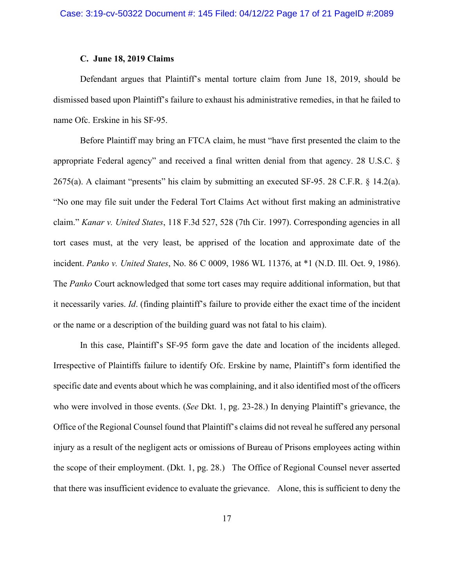# **C. June 18, 2019 Claims**

Defendant argues that Plaintiff's mental torture claim from June 18, 2019, should be dismissed based upon Plaintiff's failure to exhaust his administrative remedies, in that he failed to name Ofc. Erskine in his SF-95.

Before Plaintiff may bring an FTCA claim, he must "have first presented the claim to the appropriate Federal agency" and received a final written denial from that agency. 28 U.S.C. § 2675(a). A claimant "presents" his claim by submitting an executed SF-95. 28 C.F.R. § 14.2(a). "No one may file suit under the Federal Tort Claims Act without first making an administrative claim." *Kanar v. United States*, 118 F.3d 527, 528 (7th Cir. 1997). Corresponding agencies in all tort cases must, at the very least, be apprised of the location and approximate date of the incident. *Panko v. United States*, No. 86 C 0009, 1986 WL 11376, at \*1 (N.D. Ill. Oct. 9, 1986). The *Panko* Court acknowledged that some tort cases may require additional information, but that it necessarily varies. *Id*. (finding plaintiff's failure to provide either the exact time of the incident or the name or a description of the building guard was not fatal to his claim).

In this case, Plaintiff's SF-95 form gave the date and location of the incidents alleged. Irrespective of Plaintiffs failure to identify Ofc. Erskine by name, Plaintiff's form identified the specific date and events about which he was complaining, and it also identified most of the officers who were involved in those events. (*See* Dkt. 1, pg. 23-28.) In denying Plaintiff's grievance, the Office of the Regional Counsel found that Plaintiff's claims did not reveal he suffered any personal injury as a result of the negligent acts or omissions of Bureau of Prisons employees acting within the scope of their employment. (Dkt. 1, pg. 28.) The Office of Regional Counsel never asserted that there was insufficient evidence to evaluate the grievance. Alone, this is sufficient to deny the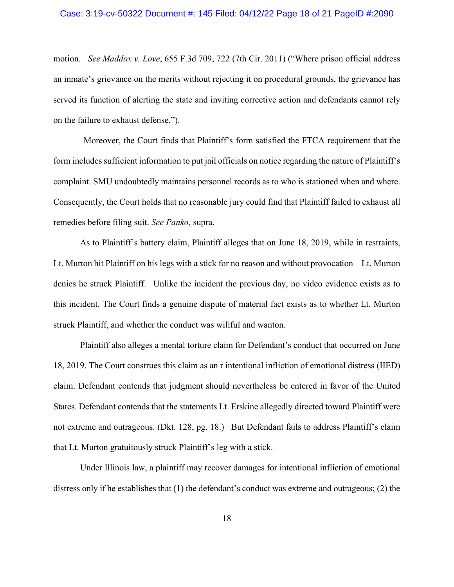# Case: 3:19-cv-50322 Document #: 145 Filed: 04/12/22 Page 18 of 21 PageID #:2090

motion. *See Maddox v. Love*, 655 F.3d 709, 722 (7th Cir. 2011) ("Where prison official address an inmate's grievance on the merits without rejecting it on procedural grounds, the grievance has served its function of alerting the state and inviting corrective action and defendants cannot rely on the failure to exhaust defense.").

Moreover, the Court finds that Plaintiff's form satisfied the FTCA requirement that the form includes sufficient information to put jail officials on notice regarding the nature of Plaintiff's complaint. SMU undoubtedly maintains personnel records as to who is stationed when and where. Consequently, the Court holds that no reasonable jury could find that Plaintiff failed to exhaust all remedies before filing suit. *See Panko*, supra.

As to Plaintiff's battery claim, Plaintiff alleges that on June 18, 2019, while in restraints, Lt. Murton hit Plaintiff on his legs with a stick for no reason and without provocation – Lt. Murton denies he struck Plaintiff. Unlike the incident the previous day, no video evidence exists as to this incident. The Court finds a genuine dispute of material fact exists as to whether Lt. Murton struck Plaintiff, and whether the conduct was willful and wanton.

Plaintiff also alleges a mental torture claim for Defendant's conduct that occurred on June 18, 2019. The Court construes this claim as an r intentional infliction of emotional distress (IIED) claim. Defendant contends that judgment should nevertheless be entered in favor of the United States. Defendant contends that the statements Lt. Erskine allegedly directed toward Plaintiff were not extreme and outrageous. (Dkt. 128, pg. 18.) But Defendant fails to address Plaintiff's claim that Lt. Murton gratuitously struck Plaintiff's leg with a stick.

Under Illinois law, a plaintiff may recover damages for intentional infliction of emotional distress only if he establishes that (1) the defendant's conduct was extreme and outrageous; (2) the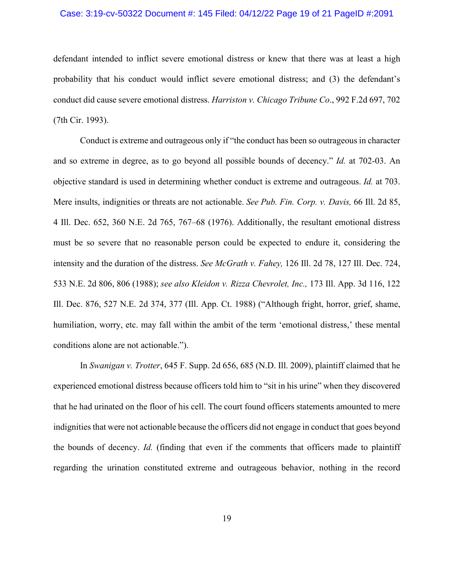# Case: 3:19-cv-50322 Document #: 145 Filed: 04/12/22 Page 19 of 21 PageID #:2091

defendant intended to inflict severe emotional distress or knew that there was at least a high probability that his conduct would inflict severe emotional distress; and (3) the defendant's conduct did cause severe emotional distress. *Harriston v. Chicago Tribune Co*., 992 F.2d 697, 702 (7th Cir. 1993).

Conduct is extreme and outrageous only if "the conduct has been so outrageous in character and so extreme in degree, as to go beyond all possible bounds of decency." *Id.* at 702-03. An objective standard is used in determining whether conduct is extreme and outrageous. *Id.* at 703. Mere insults, indignities or threats are not actionable. *See Pub. Fin. Corp. v. Davis,* 66 Ill. 2d 85, 4 Ill. Dec. 652, 360 N.E. 2d 765, 767–68 (1976). Additionally, the resultant emotional distress must be so severe that no reasonable person could be expected to endure it, considering the intensity and the duration of the distress. *See McGrath v. Fahey,* 126 Ill. 2d 78, 127 Ill. Dec. 724, 533 N.E. 2d 806, 806 (1988); *see also Kleidon v. Rizza Chevrolet, Inc.,* 173 Ill. App. 3d 116, 122 Ill. Dec. 876, 527 N.E. 2d 374, 377 (Ill. App. Ct. 1988) ("Although fright, horror, grief, shame, humiliation, worry, etc. may fall within the ambit of the term 'emotional distress,' these mental conditions alone are not actionable.").

In *Swanigan v. Trotter*, 645 F. Supp. 2d 656, 685 (N.D. Ill. 2009), plaintiff claimed that he experienced emotional distress because officers told him to "sit in his urine" when they discovered that he had urinated on the floor of his cell. The court found officers statements amounted to mere indignities that were not actionable because the officers did not engage in conduct that goes beyond the bounds of decency. *Id.* (finding that even if the comments that officers made to plaintiff regarding the urination constituted extreme and outrageous behavior, nothing in the record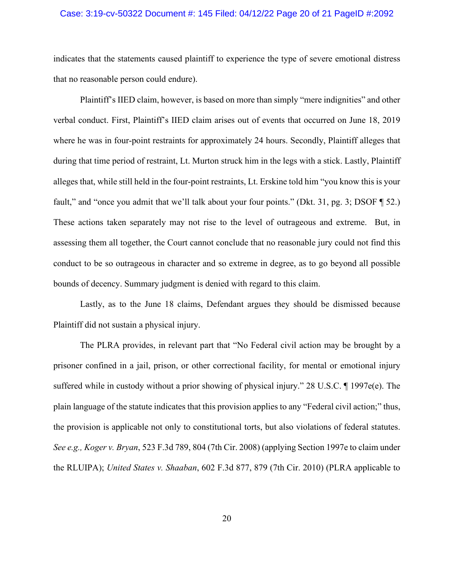# Case: 3:19-cv-50322 Document #: 145 Filed: 04/12/22 Page 20 of 21 PageID #:2092

indicates that the statements caused plaintiff to experience the type of severe emotional distress that no reasonable person could endure).

Plaintiff's IIED claim, however, is based on more than simply "mere indignities" and other verbal conduct. First, Plaintiff's IIED claim arises out of events that occurred on June 18, 2019 where he was in four-point restraints for approximately 24 hours. Secondly, Plaintiff alleges that during that time period of restraint, Lt. Murton struck him in the legs with a stick. Lastly, Plaintiff alleges that, while still held in the four-point restraints, Lt. Erskine told him "you know this is your fault," and "once you admit that we'll talk about your four points." (Dkt. 31, pg. 3; DSOF ¶ 52.) These actions taken separately may not rise to the level of outrageous and extreme. But, in assessing them all together, the Court cannot conclude that no reasonable jury could not find this conduct to be so outrageous in character and so extreme in degree, as to go beyond all possible bounds of decency. Summary judgment is denied with regard to this claim.

Lastly, as to the June 18 claims, Defendant argues they should be dismissed because Plaintiff did not sustain a physical injury.

The PLRA provides, in relevant part that "No Federal civil action may be brought by a prisoner confined in a jail, prison, or other correctional facility, for mental or emotional injury suffered while in custody without a prior showing of physical injury." 28 U.S.C.  $\P$  1997e(e). The plain language of the statute indicates that this provision applies to any "Federal civil action;" thus, the provision is applicable not only to constitutional torts, but also violations of federal statutes. *See e.g., Koger v. Bryan*, 523 F.3d 789, 804 (7th Cir. 2008) (applying Section 1997e to claim under the RLUIPA); *United States v. Shaaban*, 602 F.3d 877, 879 (7th Cir. 2010) (PLRA applicable to